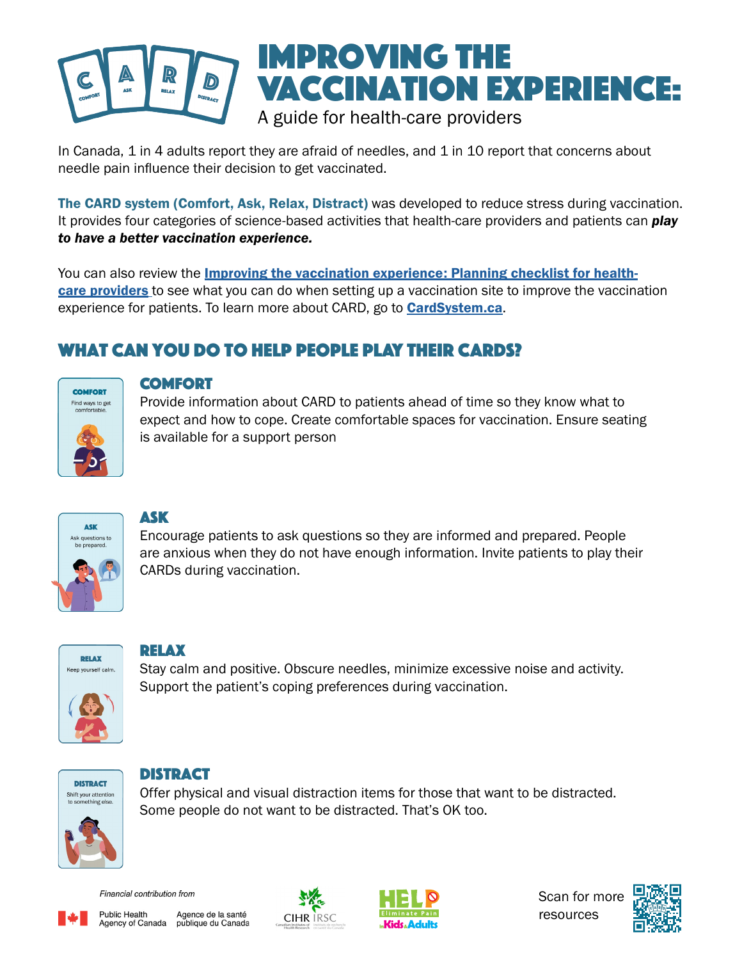### Improving the Vaccination Experience:  $\mathcal{D}$ **RELAX** A guide for health-care providers

In Canada, 1 in 4 adults report they are afraid of needles, and 1 in 10 report that concerns about needle pain influence their decision to get vaccinated.

The CARD system (Comfort, Ask, Relax, Distract) was developed to reduce stress during vaccination. It provides four categories of science-based activities that health-care providers and patients can *play to have a better vaccination experience.*

You can also review the *[Improving the vaccination experience: Planning checklist for health](https://assets.aboutkidshealth.ca/AKHAssets/CARD_HCP_PlanningChecklist.pdf)*[care providers](https://assets.aboutkidshealth.ca/AKHAssets/CARD_HCP_PlanningChecklist.pdf) to see what you can do when setting up a vaccination site to improve the vaccination experience for patients. To learn more about CARD, go to **[CardSystem.ca](http://www.CardSystem.ca)**.

### What can you do to help people play their CARDs?



#### COMFORT

Provide information about CARD to patients ahead of time so they know what to expect and how to cope. Create comfortable spaces for vaccination. Ensure seating is available for a support person



#### Ask

Encourage patients to ask questions so they are informed and prepared. People are anxious when they do not have enough information. Invite patients to play their CARDs during vaccination.



#### relax

Stay calm and positive. Obscure needles, minimize excessive noise and activity. Support the patient's coping preferences during vaccination.



#### **DISTRACT**

Offer physical and visual distraction items for those that want to be distracted. Some people do not want to be distracted. That's OK too.



Financial contribution from



**Public Health** Agence de la santé Agency of Canada publique du Canada





Scan for more resources